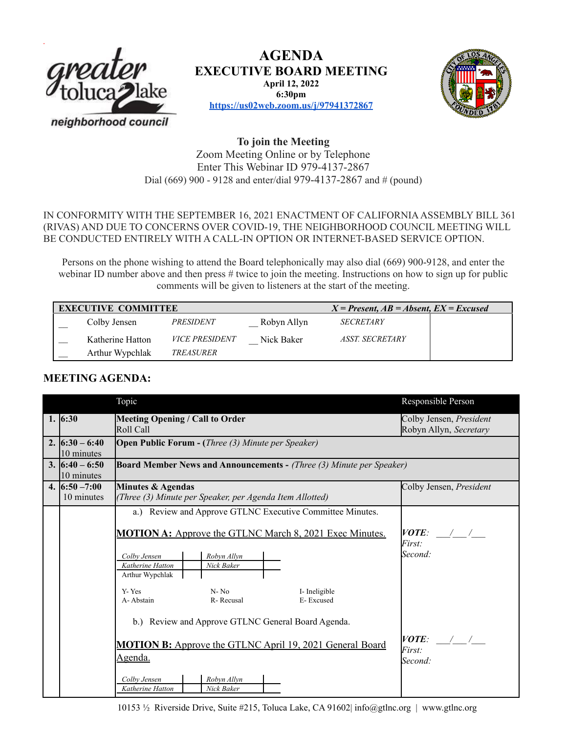

**AGENDA EXECUTIVE BOARD MEETING April 12, 2022 6:30pm**



**<https://us02web.zoom.us/j/97941372867>**

# **To join the Meeting** Zoom Meeting Online or by Telephone Enter This Webinar ID 979-4137-2867 Dial (669) 900 - 9128 and enter/dial 979-4137-2867 and # (pound)

IN CONFORMITY WITH THE SEPTEMBER 16, 2021 ENACTMENT OF CALIFORNIA ASSEMBLY BILL 361 (RIVAS) AND DUE TO CONCERNS OVER COVID-19, THE NEIGHBORHOOD COUNCIL MEETING WILL BE CONDUCTED ENTIRELY WITH A CALL-IN OPTION OR INTERNET-BASED SERVICE OPTION.

Persons on the phone wishing to attend the Board telephonically may also dial (669) 900-9128, and enter the webinar ID number above and then press # twice to join the meeting. Instructions on how to sign up for public comments will be given to listeners at the start of the meeting.

| <b>EXECUTIVE COMMITTEE</b> |                       | $X = Present, AB = Absent, EX = Excused$ |                         |  |
|----------------------------|-----------------------|------------------------------------------|-------------------------|--|
| Colby Jensen               | PRESIDENT             | Robyn Allyn                              | <i><b>SECRETARY</b></i> |  |
| Katherine Hatton           | <i>VICE PRESIDENT</i> | Nick Baker                               | ASST. SECRETARY         |  |
| Arthur Wypchlak            | <i>TREASURER</i>      |                                          |                         |  |

# **MEETING AGENDA:**

|                                 | Topic                                                                                                                                                                                                                                                                                | Responsible Person                                |  |  |  |  |
|---------------------------------|--------------------------------------------------------------------------------------------------------------------------------------------------------------------------------------------------------------------------------------------------------------------------------------|---------------------------------------------------|--|--|--|--|
| 1. $6:30$                       | Meeting Opening / Call to Order<br>Roll Call                                                                                                                                                                                                                                         | Colby Jensen, President<br>Robyn Allyn, Secretary |  |  |  |  |
| 2. $(6:30 - 6:40)$              | <b>Open Public Forum - (Three (3) Minute per Speaker)</b>                                                                                                                                                                                                                            |                                                   |  |  |  |  |
| 10 minutes                      |                                                                                                                                                                                                                                                                                      |                                                   |  |  |  |  |
| 3. $16:40 - 6:50$<br>10 minutes | <b>Board Member News and Announcements - (Three (3) Minute per Speaker)</b>                                                                                                                                                                                                          |                                                   |  |  |  |  |
| 4. $6:50 - 7:00$                | Minutes & Agendas<br>Colby Jensen, President                                                                                                                                                                                                                                         |                                                   |  |  |  |  |
| 10 minutes                      | (Three (3) Minute per Speaker, per Agenda Item Allotted)                                                                                                                                                                                                                             |                                                   |  |  |  |  |
|                                 | a.) Review and Approve GTLNC Executive Committee Minutes.                                                                                                                                                                                                                            |                                                   |  |  |  |  |
|                                 | <b>MOTION A:</b> Approve the GTLNC March 8, 2021 Exec Minutes.<br>Robyn Allyn<br>Colby Jensen<br>Katherine Hatton<br>Nick Baker<br>Arthur Wypchlak<br>Y-Yes<br>$N - No$<br>I-Ineligible<br>A-Abstain<br>R-Recusal<br>E-Excused<br>b.) Review and Approve GTLNC General Board Agenda. | VOTE:<br>First:<br>Second:                        |  |  |  |  |
|                                 | <b>MOTION B:</b> Approve the GTLNC April 19, 2021 General Board<br><u>Agenda.</u>                                                                                                                                                                                                    | VOTE:<br>$\frac{1}{2}$<br>First:<br>Second:       |  |  |  |  |
|                                 | Colby Jensen<br>Robyn Allyn<br>Katherine Hatton<br>Nick Baker                                                                                                                                                                                                                        |                                                   |  |  |  |  |

10153 ½ Riverside Drive, Suite #215, Toluca Lake, CA 91602| info@gtlnc.org | www.gtlnc.org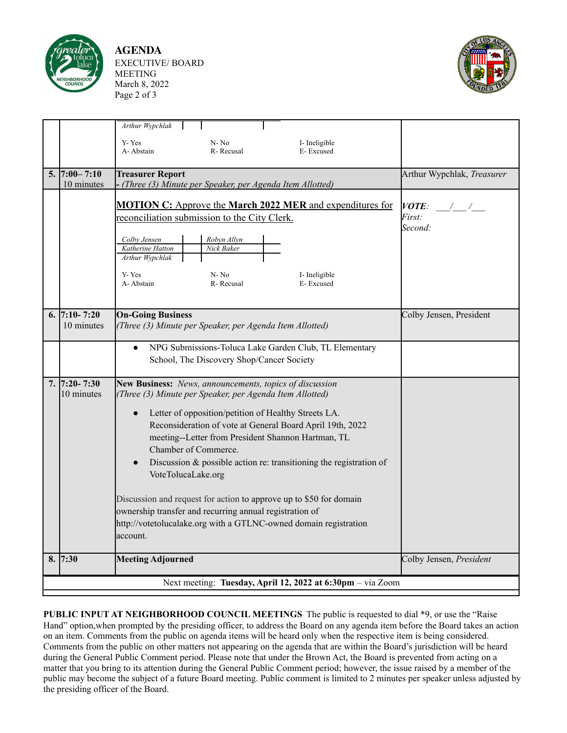

**AGENDA** EXECUTIVE/ BOARD MEETING March 8, 2022 Page 2 of 3



|    |                                                            | Arthur Wypchlak<br>Y-Yes<br>A-Abstain                                                                                                                                                                                                                                                                                                                                                                                                                                                                                                                                                                                                               | $N - No$<br>R-Recusal                                                                            | I-Ineligible<br>E-Excused                                                                            |                                    |  |  |  |  |
|----|------------------------------------------------------------|-----------------------------------------------------------------------------------------------------------------------------------------------------------------------------------------------------------------------------------------------------------------------------------------------------------------------------------------------------------------------------------------------------------------------------------------------------------------------------------------------------------------------------------------------------------------------------------------------------------------------------------------------------|--------------------------------------------------------------------------------------------------|------------------------------------------------------------------------------------------------------|------------------------------------|--|--|--|--|
|    | $5.  7:00 - 7:10$<br>10 minutes                            | <b>Treasurer Report</b><br>- (Three (3) Minute per Speaker, per Agenda Item Allotted)                                                                                                                                                                                                                                                                                                                                                                                                                                                                                                                                                               | Arthur Wypchlak, Treasurer                                                                       |                                                                                                      |                                    |  |  |  |  |
|    |                                                            | Colby Jensen<br>Katherine Hatton<br>Arthur Wypchlak<br>Y-Yes<br>A-Abstain                                                                                                                                                                                                                                                                                                                                                                                                                                                                                                                                                                           | reconciliation submission to the City Clerk.<br>Robyn Allyn<br>Nick Baker<br>$N-No$<br>R-Recusal | <b>MOTION C:</b> Approve the <b>March 2022 MER</b> and expenditures for<br>I-Ineligible<br>E-Excused | $\bm{VOTE}$ :<br>First:<br>Second: |  |  |  |  |
|    | 6. 7:10 - 7:20<br>10 minutes                               | <b>On-Going Business</b>                                                                                                                                                                                                                                                                                                                                                                                                                                                                                                                                                                                                                            | (Three (3) Minute per Speaker, per Agenda Item Allotted)                                         | Colby Jensen, President                                                                              |                                    |  |  |  |  |
|    |                                                            | NPG Submissions-Toluca Lake Garden Club, TL Elementary<br>$\bullet$<br>School, The Discovery Shop/Cancer Society                                                                                                                                                                                                                                                                                                                                                                                                                                                                                                                                    |                                                                                                  |                                                                                                      |                                    |  |  |  |  |
|    | $7.   7:20 - 7:30$<br>10 minutes                           | New Business: News, announcements, topics of discussion<br>(Three (3) Minute per Speaker, per Agenda Item Allotted)<br>Letter of opposition/petition of Healthy Streets LA.<br>$\bullet$<br>Reconsideration of vote at General Board April 19th, 2022<br>meeting--Letter from President Shannon Hartman, TL<br>Chamber of Commerce.<br>Discussion $\&$ possible action re: transitioning the registration of<br>VoteTolucaLake.org<br>Discussion and request for action to approve up to \$50 for domain<br>ownership transfer and recurring annual registration of<br>http://votetolucalake.org with a GTLNC-owned domain registration<br>account. |                                                                                                  |                                                                                                      |                                    |  |  |  |  |
| 8. | 7:30                                                       | <b>Meeting Adjourned</b>                                                                                                                                                                                                                                                                                                                                                                                                                                                                                                                                                                                                                            |                                                                                                  |                                                                                                      | Colby Jensen, President            |  |  |  |  |
|    | Next meeting: Tuesday, April 12, 2022 at 6:30pm - via Zoom |                                                                                                                                                                                                                                                                                                                                                                                                                                                                                                                                                                                                                                                     |                                                                                                  |                                                                                                      |                                    |  |  |  |  |

**PUBLIC INPUT AT NEIGHBORHOOD COUNCIL MEETINGS** The public is requested to dial \*9, or use the "Raise Hand" option,when prompted by the presiding officer, to address the Board on any agenda item before the Board takes an action on an item. Comments from the public on agenda items will be heard only when the respective item is being considered. Comments from the public on other matters not appearing on the agenda that are within the Board's jurisdiction will be heard during the General Public Comment period. Please note that under the Brown Act, the Board is prevented from acting on a matter that you bring to its attention during the General Public Comment period; however, the issue raised by a member of the public may become the subject of a future Board meeting. Public comment is limited to 2 minutes per speaker unless adjusted by the presiding officer of the Board.